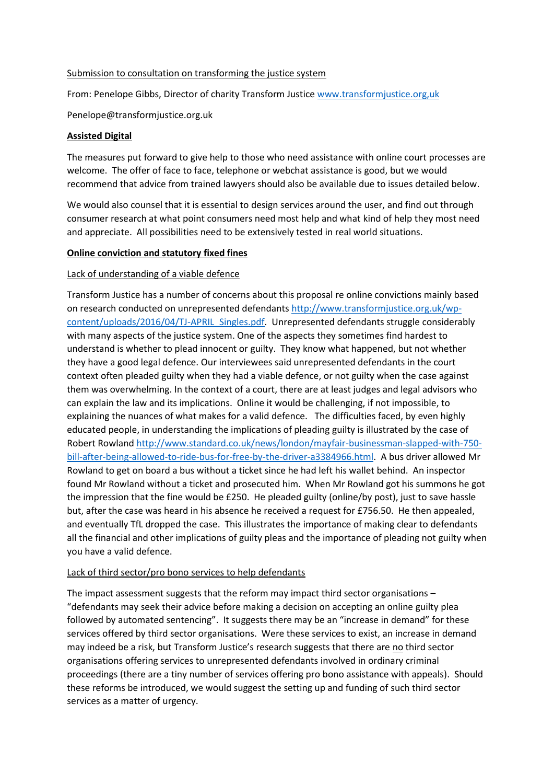#### Submission to consultation on transforming the justice system

From: Penelope Gibbs, Director of charity Transform Justice www.transformjustice.org, uk

Penelope@transformjustice.org.uk

### **Assisted Digital**

The measures put forward to give help to those who need assistance with online court processes are welcome. The offer of face to face, telephone or webchat assistance is good, but we would recommend that advice from trained lawyers should also be available due to issues detailed below.

We would also counsel that it is essential to design services around the user, and find out through consumer research at what point consumers need most help and what kind of help they most need and appreciate. All possibilities need to be extensively tested in real world situations.

### **Online conviction and statutory fixed fines**

## Lack of understanding of a viable defence

Transform Justice has a number of concerns about this proposal re online convictions mainly based on research conducted on unrepresented defendants [http://www.transformjustice.org.uk/wp](http://www.transformjustice.org.uk/wp-content/uploads/2016/04/TJ-APRIL_Singles.pdf)[content/uploads/2016/04/TJ-APRIL\\_Singles.pdf.](http://www.transformjustice.org.uk/wp-content/uploads/2016/04/TJ-APRIL_Singles.pdf) Unrepresented defendants struggle considerably with many aspects of the justice system. One of the aspects they sometimes find hardest to understand is whether to plead innocent or guilty. They know what happened, but not whether they have a good legal defence. Our interviewees said unrepresented defendants in the court context often pleaded guilty when they had a viable defence, or not guilty when the case against them was overwhelming. In the context of a court, there are at least judges and legal advisors who can explain the law and its implications. Online it would be challenging, if not impossible, to explaining the nuances of what makes for a valid defence. The difficulties faced, by even highly educated people, in understanding the implications of pleading guilty is illustrated by the case of Robert Rowlan[d http://www.standard.co.uk/news/london/mayfair-businessman-slapped-with-750](http://www.standard.co.uk/news/london/mayfair-businessman-slapped-with-750-bill-after-being-allowed-to-ride-bus-for-free-by-the-driver-a3384966.html) [bill-after-being-allowed-to-ride-bus-for-free-by-the-driver-a3384966.html.](http://www.standard.co.uk/news/london/mayfair-businessman-slapped-with-750-bill-after-being-allowed-to-ride-bus-for-free-by-the-driver-a3384966.html) A bus driver allowed Mr Rowland to get on board a bus without a ticket since he had left his wallet behind. An inspector found Mr Rowland without a ticket and prosecuted him. When Mr Rowland got his summons he got the impression that the fine would be £250. He pleaded guilty (online/by post), just to save hassle but, after the case was heard in his absence he received a request for £756.50. He then appealed, and eventually TfL dropped the case. This illustrates the importance of making clear to defendants all the financial and other implications of guilty pleas and the importance of pleading not guilty when you have a valid defence.

### Lack of third sector/pro bono services to help defendants

The impact assessment suggests that the reform may impact third sector organisations – "defendants may seek their advice before making a decision on accepting an online guilty plea followed by automated sentencing". It suggests there may be an "increase in demand" for these services offered by third sector organisations. Were these services to exist, an increase in demand may indeed be a risk, but Transform Justice's research suggests that there are no third sector organisations offering services to unrepresented defendants involved in ordinary criminal proceedings (there are a tiny number of services offering pro bono assistance with appeals). Should these reforms be introduced, we would suggest the setting up and funding of such third sector services as a matter of urgency.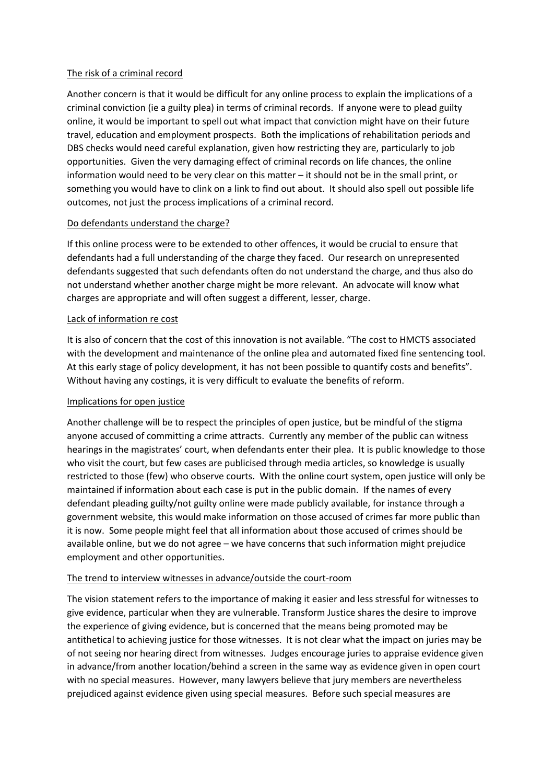## The risk of a criminal record

Another concern is that it would be difficult for any online process to explain the implications of a criminal conviction (ie a guilty plea) in terms of criminal records. If anyone were to plead guilty online, it would be important to spell out what impact that conviction might have on their future travel, education and employment prospects. Both the implications of rehabilitation periods and DBS checks would need careful explanation, given how restricting they are, particularly to job opportunities. Given the very damaging effect of criminal records on life chances, the online information would need to be very clear on this matter – it should not be in the small print, or something you would have to clink on a link to find out about. It should also spell out possible life outcomes, not just the process implications of a criminal record.

## Do defendants understand the charge?

If this online process were to be extended to other offences, it would be crucial to ensure that defendants had a full understanding of the charge they faced. Our research on unrepresented defendants suggested that such defendants often do not understand the charge, and thus also do not understand whether another charge might be more relevant. An advocate will know what charges are appropriate and will often suggest a different, lesser, charge.

## Lack of information re cost

It is also of concern that the cost of this innovation is not available. "The cost to HMCTS associated with the development and maintenance of the online plea and automated fixed fine sentencing tool. At this early stage of policy development, it has not been possible to quantify costs and benefits". Without having any costings, it is very difficult to evaluate the benefits of reform.

### Implications for open justice

Another challenge will be to respect the principles of open justice, but be mindful of the stigma anyone accused of committing a crime attracts. Currently any member of the public can witness hearings in the magistrates' court, when defendants enter their plea. It is public knowledge to those who visit the court, but few cases are publicised through media articles, so knowledge is usually restricted to those (few) who observe courts. With the online court system, open justice will only be maintained if information about each case is put in the public domain. If the names of every defendant pleading guilty/not guilty online were made publicly available, for instance through a government website, this would make information on those accused of crimes far more public than it is now. Some people might feel that all information about those accused of crimes should be available online, but we do not agree – we have concerns that such information might prejudice employment and other opportunities.

### The trend to interview witnesses in advance/outside the court-room

The vision statement refers to the importance of making it easier and less stressful for witnesses to give evidence, particular when they are vulnerable. Transform Justice shares the desire to improve the experience of giving evidence, but is concerned that the means being promoted may be antithetical to achieving justice for those witnesses. It is not clear what the impact on juries may be of not seeing nor hearing direct from witnesses. Judges encourage juries to appraise evidence given in advance/from another location/behind a screen in the same way as evidence given in open court with no special measures. However, many lawyers believe that jury members are nevertheless prejudiced against evidence given using special measures. Before such special measures are